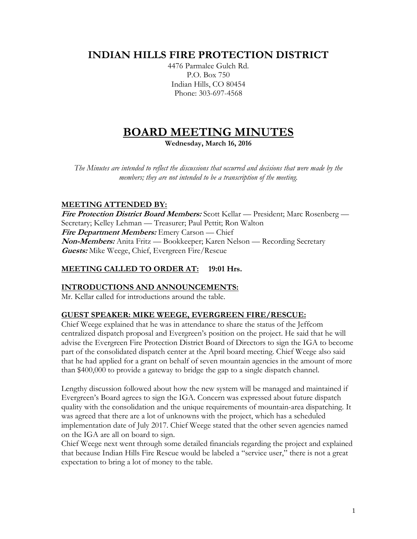# **INDIAN HILLS FIRE PROTECTION DISTRICT**

4476 Parmalee Gulch Rd. P.O. Box 750 Indian Hills, CO 80454 Phone: 303-697-4568

# **BOARD MEETING MINUTES**

**Wednesday, March 16, 2016**

*The Minutes are intended to reflect the discussions that occurred and decisions that were made by the members; they are not intended to be a transcription of the meeting.*

# **MEETING ATTENDED BY:**

**Fire Protection District Board Members:** Scott Kellar — President; Marc Rosenberg — Secretary; Kelley Lehman — Treasurer; Paul Pettit; Ron Walton **Fire Department Members:** Emery Carson — Chief **Non-Members:** Anita Fritz — Bookkeeper; Karen Nelson — Recording Secretary **Guests:** Mike Weege, Chief, Evergreen Fire/Rescue

# **MEETING CALLED TO ORDER AT: 19:01 Hrs.**

#### **INTRODUCTIONS AND ANNOUNCEMENTS:**

Mr. Kellar called for introductions around the table.

#### **GUEST SPEAKER: MIKE WEEGE, EVERGREEN FIRE/RESCUE:**

Chief Weege explained that he was in attendance to share the status of the Jeffcom centralized dispatch proposal and Evergreen's position on the project. He said that he will advise the Evergreen Fire Protection District Board of Directors to sign the IGA to become part of the consolidated dispatch center at the April board meeting. Chief Weege also said that he had applied for a grant on behalf of seven mountain agencies in the amount of more than \$400,000 to provide a gateway to bridge the gap to a single dispatch channel.

Lengthy discussion followed about how the new system will be managed and maintained if Evergreen's Board agrees to sign the IGA. Concern was expressed about future dispatch quality with the consolidation and the unique requirements of mountain-area dispatching. It was agreed that there are a lot of unknowns with the project, which has a scheduled implementation date of July 2017. Chief Weege stated that the other seven agencies named on the IGA are all on board to sign.

Chief Weege next went through some detailed financials regarding the project and explained that because Indian Hills Fire Rescue would be labeled a "service user," there is not a great expectation to bring a lot of money to the table.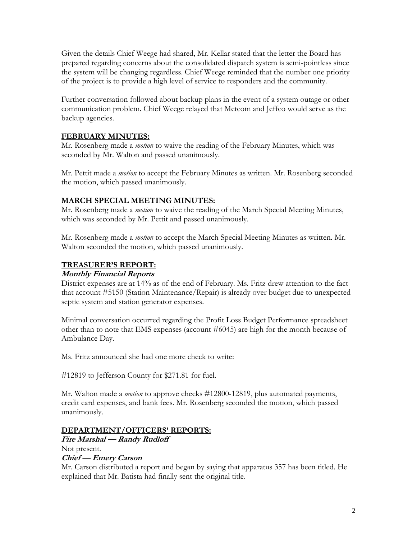Given the details Chief Weege had shared, Mr. Kellar stated that the letter the Board has prepared regarding concerns about the consolidated dispatch system is semi-pointless since the system will be changing regardless. Chief Weege reminded that the number one priority of the project is to provide a high level of service to responders and the community.

Further conversation followed about backup plans in the event of a system outage or other communication problem. Chief Weege relayed that Metcom and Jeffco would serve as the backup agencies.

# **FEBRUARY MINUTES:**

Mr. Rosenberg made a *motion* to waive the reading of the February Minutes, which was seconded by Mr. Walton and passed unanimously.

Mr. Pettit made a *motion* to accept the February Minutes as written. Mr. Rosenberg seconded the motion, which passed unanimously.

# **MARCH SPECIAL MEETING MINUTES:**

Mr. Rosenberg made a *motion* to waive the reading of the March Special Meeting Minutes, which was seconded by Mr. Pettit and passed unanimously.

Mr. Rosenberg made a *motion* to accept the March Special Meeting Minutes as written. Mr. Walton seconded the motion, which passed unanimously.

#### **TREASURER'S REPORT:**

#### **Monthly Financial Reports**

District expenses are at 14% as of the end of February. Ms. Fritz drew attention to the fact that account #5150 (Station Maintenance/Repair) is already over budget due to unexpected septic system and station generator expenses.

Minimal conversation occurred regarding the Profit Loss Budget Performance spreadsheet other than to note that EMS expenses (account #6045) are high for the month because of Ambulance Day.

Ms. Fritz announced she had one more check to write:

#12819 to Jefferson County for \$271.81 for fuel.

Mr. Walton made a *motion* to approve checks #12800-12819, plus automated payments, credit card expenses, and bank fees. Mr. Rosenberg seconded the motion, which passed unanimously.

#### **DEPARTMENT/OFFICERS' REPORTS:**

# **Fire Marshal — Randy Rudloff**

Not present.

#### **Chief — Emery Carson**

Mr. Carson distributed a report and began by saying that apparatus 357 has been titled. He explained that Mr. Batista had finally sent the original title.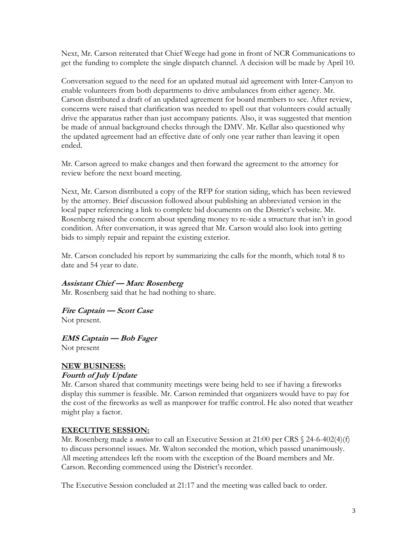Next, Mr. Carson reiterated that Chief Weege had gone in front of NCR Communications to get the funding to complete the single dispatch channel. A decision will be made by April 10.

Conversation segued to the need for an updated mutual aid agreement with Inter-Canyon to enable volunteers from both departments to drive ambulances from either agency. Mr. Carson distributed a draft of an updated agreement for board members to see. After review, concerns were raised that clarification was needed to spell out that volunteers could actually drive the apparatus rather than just accompany patients. Also, it was suggested that mention be made of annual background checks through the DMV. Mr. Kellar also questioned why the updated agreement had an effective date of only one year rather than leaving it open ended.

Mr. Carson agreed to make changes and then forward the agreement to the attorney for review before the next board meeting.

Next, Mr. Carson distributed a copy of the RFP for station siding, which has been reviewed by the attorney. Brief discussion followed about publishing an abbreviated version in the local paper referencing a link to complete bid documents on the District's website. Mr. Rosenberg raised the concern about spending money to re-side a structure that isn't in good condition. After conversation, it was agreed that Mr. Carson would also look into getting bids to simply repair and repaint the existing exterior.

Mr. Carson concluded his report by summarizing the calls for the month, which total 8 to date and 54 year to date.

#### **Assistant Chief — Marc Rosenberg**

Mr. Rosenberg said that he had nothing to share.

**Fire Captain — Scott Case** Not present.

**EMS Captain — Bob Fager**

Not present

#### **NEW BUSINESS:**

#### **Fourth of July Update**

Mr. Carson shared that community meetings were being held to see if having a fireworks display this summer is feasible. Mr. Carson reminded that organizers would have to pay for the cost of the fireworks as well as manpower for traffic control. He also noted that weather might play a factor.

#### **EXECUTIVE SESSION:**

Mr. Rosenberg made a *motion* to call an Executive Session at 21:00 per CRS  $\&$  24-6-402(4)(f) to discuss personnel issues. Mr. Walton seconded the motion, which passed unanimously. All meeting attendees left the room with the exception of the Board members and Mr. Carson. Recording commenced using the District's recorder.

The Executive Session concluded at 21:17 and the meeting was called back to order.